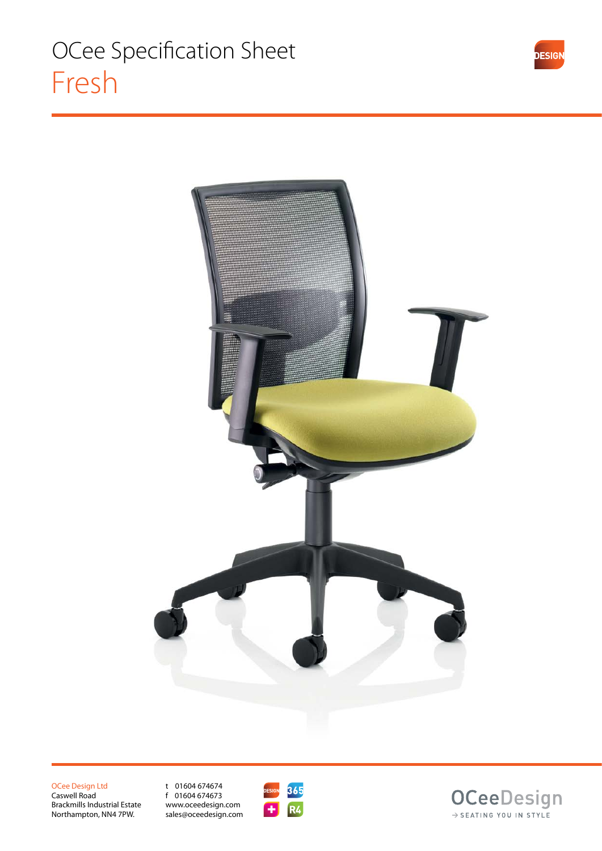

OCee Design Ltd Caswell Road

Brackmills Industrial Estate Northampton, NN4 7PW.

t 01604 674674 f 01604 674673 www.oceedesign.com sales@oceedesign.com